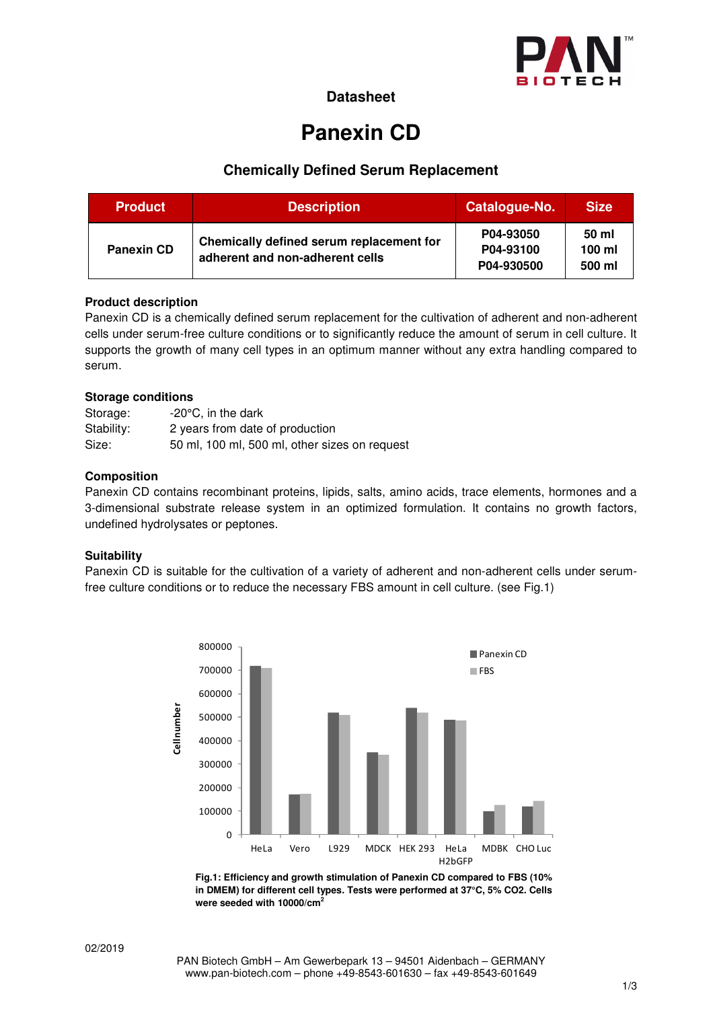

# **Datasheet**

# **Panexin CD**

# **Chemically Defined Serum Replacement**

| <b>Product</b>    | <b>Description</b>                                                          | Catalogue-No.                        | <b>Size</b>                 |
|-------------------|-----------------------------------------------------------------------------|--------------------------------------|-----------------------------|
| <b>Panexin CD</b> | Chemically defined serum replacement for<br>adherent and non-adherent cells | P04-93050<br>P04-93100<br>P04-930500 | 50 ml<br>$100$ ml<br>500 ml |

# **Product description**

Panexin CD is a chemically defined serum replacement for the cultivation of adherent and non-adherent cells under serum-free culture conditions or to significantly reduce the amount of serum in cell culture. It supports the growth of many cell types in an optimum manner without any extra handling compared to serum.

# **Storage conditions**

| Storage:   | $-20^{\circ}$ C, in the dark                  |
|------------|-----------------------------------------------|
| Stability: | 2 years from date of production               |
| Size:      | 50 ml, 100 ml, 500 ml, other sizes on request |

# **Composition**

Panexin CD contains recombinant proteins, lipids, salts, amino acids, trace elements, hormones and a 3-dimensional substrate release system in an optimized formulation. It contains no growth factors, undefined hydrolysates or peptones.

# **Suitability**

Panexin CD is suitable for the cultivation of a variety of adherent and non-adherent cells under serumfree culture conditions or to reduce the necessary FBS amount in cell culture. (see Fig.1)



**Fig.1: Efficiency and growth stimulation of Panexin CD compared to FBS (10% in DMEM) for different cell types. Tests were performed at 37°C, 5% CO2. Cells were seeded with 10000/cm<sup>2</sup>**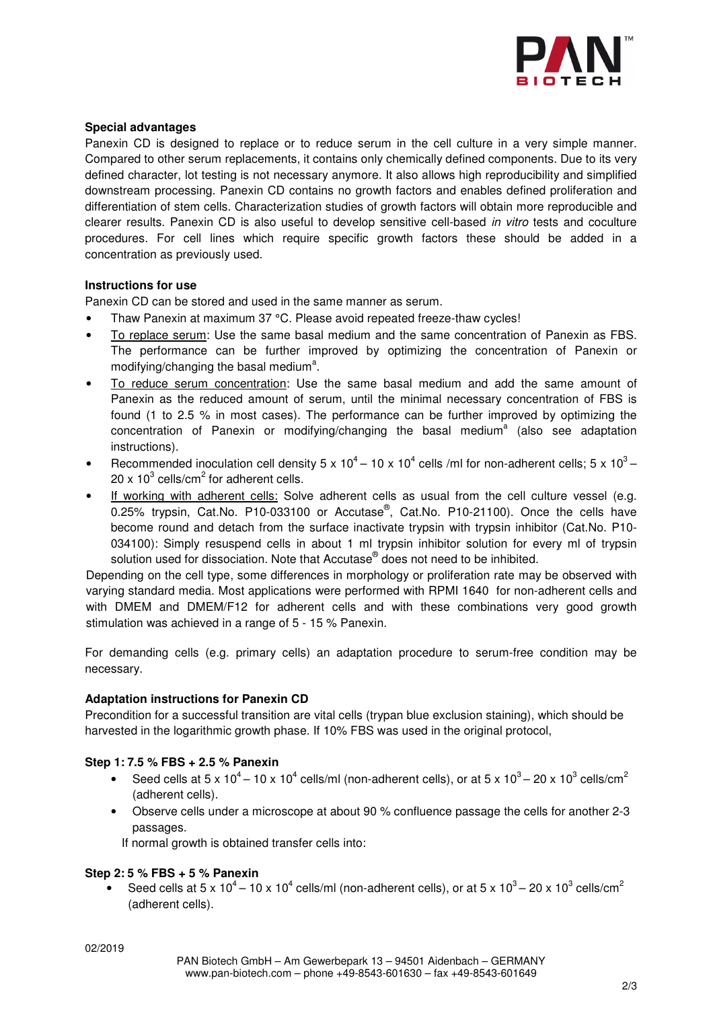

### **Special advantages**

Panexin CD is designed to replace or to reduce serum in the cell culture in a very simple manner. Compared to other serum replacements, it contains only chemically defined components. Due to its very defined character, lot testing is not necessary anymore. It also allows high reproducibility and simplified downstream processing. Panexin CD contains no growth factors and enables defined proliferation and differentiation of stem cells. Characterization studies of growth factors will obtain more reproducible and clearer results. Panexin CD is also useful to develop sensitive cell-based in vitro tests and coculture procedures. For cell lines which require specific growth factors these should be added in a concentration as previously used.

#### **Instructions for use**

Panexin CD can be stored and used in the same manner as serum.

- Thaw Panexin at maximum 37 °C. Please avoid repeated freeze-thaw cycles!
- To replace serum: Use the same basal medium and the same concentration of Panexin as FBS. The performance can be further improved by optimizing the concentration of Panexin or modifying/changing the basal medium<sup>a</sup>.
- To reduce serum concentration: Use the same basal medium and add the same amount of Panexin as the reduced amount of serum, until the minimal necessary concentration of FBS is found (1 to 2.5 % in most cases). The performance can be further improved by optimizing the concentration of Panexin or modifying/changing the basal medium<sup>a</sup> (also see adaptation instructions).
- Recommended inoculation cell density 5 x  $10^4 10 \times 10^4$  cells /ml for non-adherent cells; 5 x  $10^3 -$ 20 x  $10^3$  cells/cm<sup>2</sup> for adherent cells.
- If working with adherent cells: Solve adherent cells as usual from the cell culture vessel (e.g. 0.25% trypsin, Cat.No. P10-033100 or Accutase<sup>®</sup>, Cat.No. P10-21100). Once the cells have become round and detach from the surface inactivate trypsin with trypsin inhibitor (Cat.No. P10- 034100): Simply resuspend cells in about 1 ml trypsin inhibitor solution for every ml of trypsin solution used for dissociation. Note that Accutase® does not need to be inhibited.

Depending on the cell type, some differences in morphology or proliferation rate may be observed with varying standard media. Most applications were performed with RPMI 1640 for non-adherent cells and with DMEM and DMEM/F12 for adherent cells and with these combinations very good growth stimulation was achieved in a range of 5 - 15 % Panexin.

For demanding cells (e.g. primary cells) an adaptation procedure to serum-free condition may be necessary.

#### **Adaptation instructions for Panexin CD**

Precondition for a successful transition are vital cells (trypan blue exclusion staining), which should be harvested in the logarithmic growth phase. If 10% FBS was used in the original protocol,

# **Step 1: 7.5 % FBS + 2.5 % Panexin**

- Seed cells at 5 x 10<sup>4</sup> 10 x 10<sup>4</sup> cells/ml (non-adherent cells), or at 5 x 10<sup>3</sup> 20 x 10<sup>3</sup> cells/cm<sup>2</sup> (adherent cells).
- Observe cells under a microscope at about 90 % confluence passage the cells for another 2-3 passages.
- If normal growth is obtained transfer cells into:

# **Step 2: 5 % FBS + 5 % Panexin**

• Seed cells at 5 x 10<sup>4</sup> – 10 x 10<sup>4</sup> cells/ml (non-adherent cells), or at 5 x 10<sup>3</sup> – 20 x 10<sup>3</sup> cells/cm<sup>2</sup> (adherent cells).